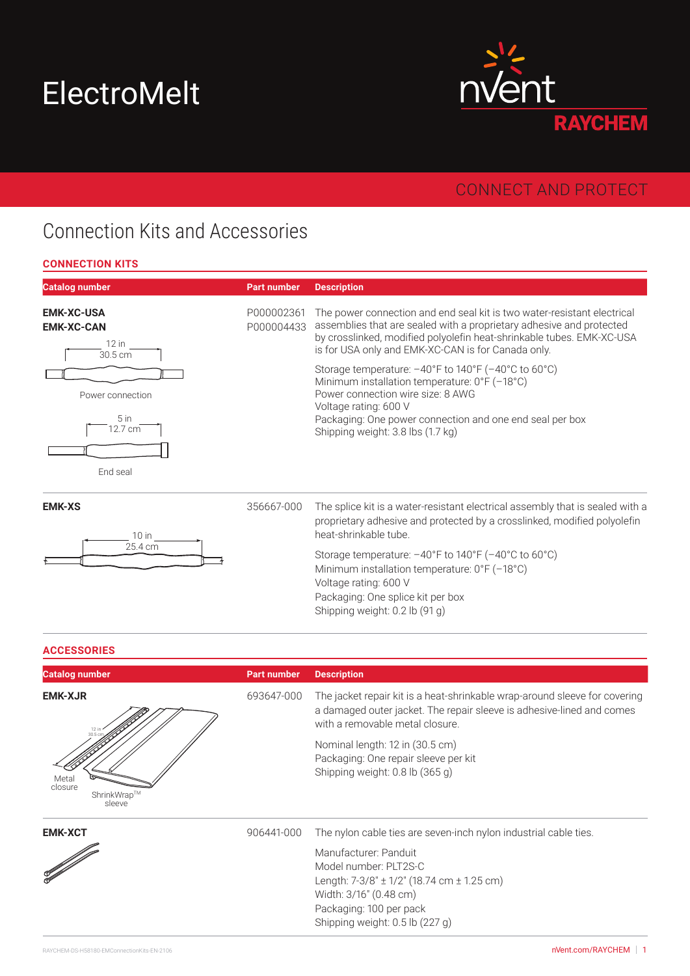# ElectroMelt



### CONNECT AND PROTECT

### Connection Kits and Accessories

#### **CONNECTION KITS**

| <b>Catalog number</b>                                        | <b>Part number</b>       | <b>Description</b>                                                                                                                                                                                                                                                             |
|--------------------------------------------------------------|--------------------------|--------------------------------------------------------------------------------------------------------------------------------------------------------------------------------------------------------------------------------------------------------------------------------|
| <b>EMK-XC-USA</b><br><b>EMK-XC-CAN</b><br>$12$ in<br>30.5 cm | P000002361<br>P000004433 | The power connection and end seal kit is two water-resistant electrical<br>assemblies that are sealed with a proprietary adhesive and protected<br>by crosslinked, modified polyolefin heat-shrinkable tubes. EMK-XC-USA<br>is for USA only and EMK-XC-CAN is for Canada only. |
| Power connection<br>5 <sub>in</sub><br>12.7 cm<br>End seal   |                          | Storage temperature: -40°F to 140°F (-40°C to 60°C)<br>Minimum installation temperature: 0°F (-18°C)<br>Power connection wire size: 8 AWG<br>Voltage rating: 600 V<br>Packaging: One power connection and one end seal per box<br>Shipping weight: 3.8 lbs (1.7 kg)            |
| <b>EMK-XS</b><br>$10$ in                                     | 356667-000               | The splice kit is a water-resistant electrical assembly that is sealed with a<br>proprietary adhesive and protected by a crosslinked, modified polyolefin<br>heat-shrinkable tube.                                                                                             |
| 25.4 cm                                                      |                          | Storage temperature: $-40^{\circ}$ F to $140^{\circ}$ F ( $-40^{\circ}$ C to $60^{\circ}$ C)<br>Minimum installation temperature: 0°F (-18°C)<br>Voltage rating: 600 V<br>Packaging: One splice kit per box<br>Shipping weight: 0.2 lb (91 g)                                  |

#### **ACCESSORIES**

| <b>Catalog number</b>                                                           | <b>Part number</b> | <b>Description</b>                                                                                                                                                                     |
|---------------------------------------------------------------------------------|--------------------|----------------------------------------------------------------------------------------------------------------------------------------------------------------------------------------|
| <b>EMK-XJR</b><br>12 in<br>30.5 cr<br>Metal<br>closure<br>ShrinkWrap™<br>sleeve | 693647-000         | The jacket repair kit is a heat-shrinkable wrap-around sleeve for covering<br>a damaged outer jacket. The repair sleeve is adhesive-lined and comes<br>with a removable metal closure. |
|                                                                                 |                    | Nominal length: 12 in (30.5 cm)<br>Packaging: One repair sleeve per kit<br>Shipping weight: 0.8 lb (365 g)                                                                             |
| <b>EMK-XCT</b>                                                                  | 906441-000         | The nylon cable ties are seven-inch nylon industrial cable ties.                                                                                                                       |
|                                                                                 |                    | Manufacturer: Panduit                                                                                                                                                                  |
|                                                                                 |                    | Model number: PLT2S-C                                                                                                                                                                  |
|                                                                                 |                    | Length: $7-3/8$ " $\pm$ 1/2" (18.74 cm $\pm$ 1.25 cm)<br>Width: 3/16" (0.48 cm)                                                                                                        |
|                                                                                 |                    | Packaging: 100 per pack                                                                                                                                                                |
|                                                                                 |                    | Shipping weight: 0.5 lb (227 g)                                                                                                                                                        |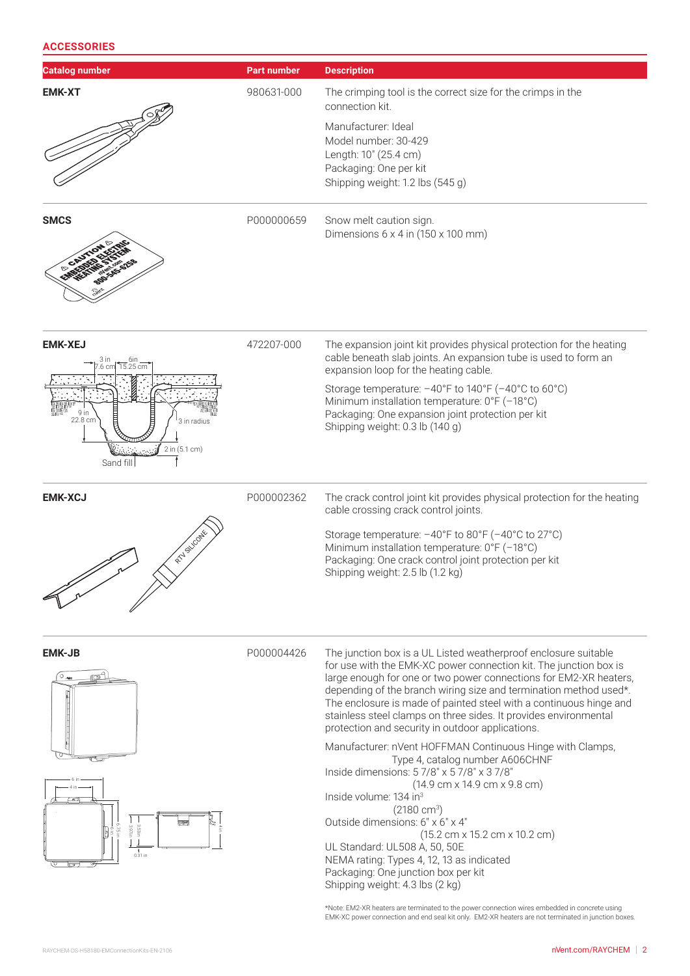#### **ACCESSORIES**

| <b>Catalog number</b>                                                                                  | <b>Part number</b> | <b>Description</b>                                                                                                                                                                                                                                                                                                                                                                                                                                                           |
|--------------------------------------------------------------------------------------------------------|--------------------|------------------------------------------------------------------------------------------------------------------------------------------------------------------------------------------------------------------------------------------------------------------------------------------------------------------------------------------------------------------------------------------------------------------------------------------------------------------------------|
| <b>EMK-XT</b>                                                                                          | 980631-000         | The crimping tool is the correct size for the crimps in the<br>connection kit.                                                                                                                                                                                                                                                                                                                                                                                               |
|                                                                                                        |                    | Manufacturer: Ideal                                                                                                                                                                                                                                                                                                                                                                                                                                                          |
|                                                                                                        |                    | Model number: 30-429<br>Length: 10" (25.4 cm)                                                                                                                                                                                                                                                                                                                                                                                                                                |
|                                                                                                        |                    | Packaging: One per kit                                                                                                                                                                                                                                                                                                                                                                                                                                                       |
|                                                                                                        |                    | Shipping weight: 1.2 lbs (545 g)                                                                                                                                                                                                                                                                                                                                                                                                                                             |
| <b>SMCS</b>                                                                                            | P000000659         | Snow melt caution sign.<br>Dimensions $6 \times 4$ in (150 $\times$ 100 mm)                                                                                                                                                                                                                                                                                                                                                                                                  |
| <b>EMK-XEJ</b><br>$\frac{6}{15.25}$ cm<br>9 in<br>22.8 cm<br>3 in radius<br>2 in (5.1 cm)<br>Sand fill | 472207-000         | The expansion joint kit provides physical protection for the heating<br>cable beneath slab joints. An expansion tube is used to form an<br>expansion loop for the heating cable.                                                                                                                                                                                                                                                                                             |
|                                                                                                        |                    | Storage temperature: $-40^{\circ}$ F to 140°F ( $-40^{\circ}$ C to 60°C)<br>Minimum installation temperature: 0°F (-18°C)<br>Packaging: One expansion joint protection per kit<br>Shipping weight: 0.3 lb (140 g)                                                                                                                                                                                                                                                            |
| <b>EMK-XCJ</b>                                                                                         | P000002362         | The crack control joint kit provides physical protection for the heating<br>cable crossing crack control joints.                                                                                                                                                                                                                                                                                                                                                             |
| RTV SILCONE                                                                                            |                    | Storage temperature: -40°F to 80°F (-40°C to 27°C)<br>Minimum installation temperature: 0°F (-18°C)<br>Packaging: One crack control joint protection per kit<br>Shipping weight: 2.5 lb (1.2 kg)                                                                                                                                                                                                                                                                             |
|                                                                                                        |                    |                                                                                                                                                                                                                                                                                                                                                                                                                                                                              |
| <b>EMK-JB</b><br>8<br>$0.31$ in                                                                        | P000004426         | The junction box is a UL Listed weatherproof enclosure suitable<br>for use with the EMK-XC power connection kit. The junction box is<br>large enough for one or two power connections for EM2-XR heaters,<br>depending of the branch wiring size and termination method used*.<br>The enclosure is made of painted steel with a continuous hinge and<br>stainless steel clamps on three sides. It provides environmental<br>protection and security in outdoor applications. |
|                                                                                                        |                    | Manufacturer: nVent HOFFMAN Continuous Hinge with Clamps,<br>Type 4, catalog number A606CHNF                                                                                                                                                                                                                                                                                                                                                                                 |
|                                                                                                        |                    | Inside dimensions: 5 7/8" x 5 7/8" x 3 7/8"<br>(14.9 cm x 14.9 cm x 9.8 cm)                                                                                                                                                                                                                                                                                                                                                                                                  |
|                                                                                                        |                    | Inside volume: 134 in <sup>3</sup>                                                                                                                                                                                                                                                                                                                                                                                                                                           |
|                                                                                                        |                    | $(2180 \text{ cm}^3)$<br>Outside dimensions: 6" x 6" x 4"                                                                                                                                                                                                                                                                                                                                                                                                                    |
|                                                                                                        |                    | $(15.2 \text{ cm} \times 15.2 \text{ cm} \times 10.2 \text{ cm})$                                                                                                                                                                                                                                                                                                                                                                                                            |
|                                                                                                        |                    | UL Standard: UL508 A, 50, 50E<br>NEMA rating: Types 4, 12, 13 as indicated<br>Packaging: One junction box per kit<br>Shipping weight: 4.3 lbs (2 kg)                                                                                                                                                                                                                                                                                                                         |
|                                                                                                        |                    | *Note: EM2-XR heaters are terminated to the power connection wires embedded in concrete using<br>EMK-XC power connection and end seal kit only. EM2-XR heaters are not terminated in junction boxes.                                                                                                                                                                                                                                                                         |